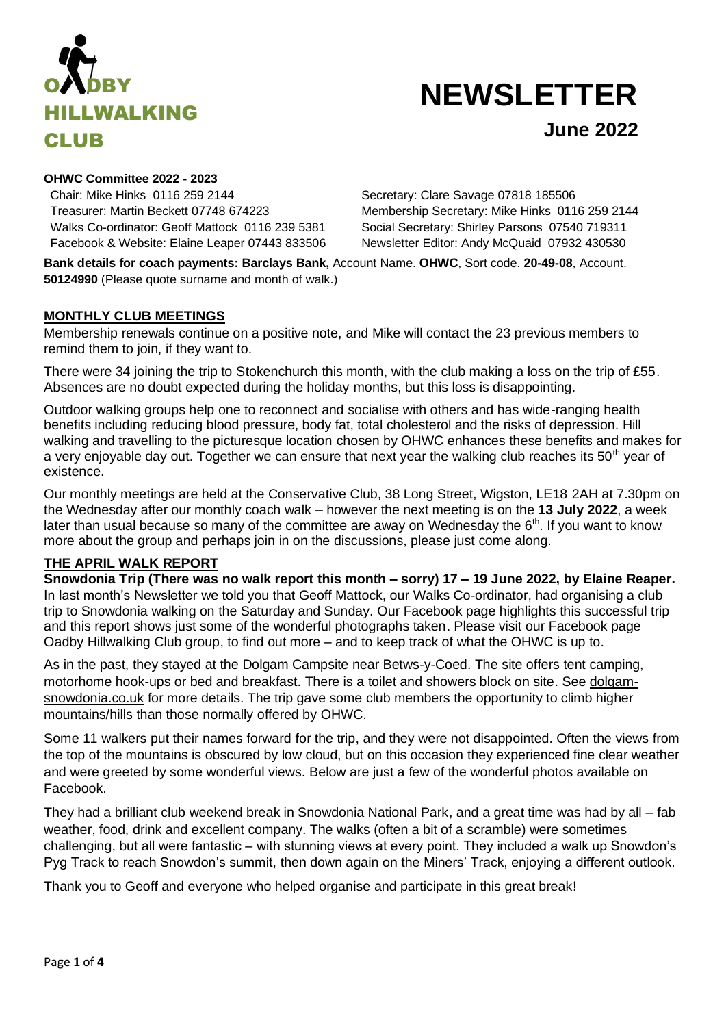

# **NEWSLETTER**

**OHWC Committee 2022 - 2023**

Chair: Mike Hinks 0116 259 2144 Secretary: Clare Savage 07818 185506 Treasurer: Martin Beckett 07748 674223 Membership Secretary: Mike Hinks 0116 259 2144 Walks Co-ordinator: Geoff Mattock 0116 239 5381 Social Secretary: Shirley Parsons 07540 719311 Facebook & Website: Elaine Leaper 07443 833506 Newsletter Editor: Andy McQuaid 07932 430530

**Bank details for coach payments: Barclays Bank,** Account Name. **OHWC**, Sort code. **20-49-08**, Account. **50124990** (Please quote surname and month of walk.)

## **MONTHLY CLUB MEETINGS**

Membership renewals continue on a positive note, and Mike will contact the 23 previous members to remind them to join, if they want to.

There were 34 joining the trip to Stokenchurch this month, with the club making a loss on the trip of £55. Absences are no doubt expected during the holiday months, but this loss is disappointing.

Outdoor walking groups help one to reconnect and socialise with others and has wide-ranging health benefits including reducing blood pressure, body fat, total cholesterol and the risks of depression. Hill walking and travelling to the picturesque location chosen by OHWC enhances these benefits and makes for a very enjoyable day out. Together we can ensure that next year the walking club reaches its  $50<sup>th</sup>$  year of existence.

Our monthly meetings are held at the Conservative Club, 38 Long Street, Wigston, LE18 2AH at 7.30pm on the Wednesday after our monthly coach walk – however the next meeting is on the **13 July 2022**, a week later than usual because so many of the committee are away on Wednesday the  $6<sup>th</sup>$ . If you want to know more about the group and perhaps join in on the discussions, please just come along.

#### **THE APRIL WALK REPORT**

**Snowdonia Trip (There was no walk report this month – sorry) 17 – 19 June 2022, by Elaine Reaper.** In last month's Newsletter we told you that Geoff Mattock, our Walks Co-ordinator, had organising a club trip to Snowdonia walking on the Saturday and Sunday. Our Facebook page highlights this successful trip and this report shows just some of the wonderful photographs taken. Please visit our Facebook page Oadby Hillwalking Club group, to find out more – and to keep track of what the OHWC is up to.

As in the past, they stayed at the Dolgam Campsite near Betws-y-Coed. The site offers tent camping, motorhome hook-ups or bed and breakfast. There is a toilet and showers block on site. See [dolgam](https://nam12.safelinks.protection.outlook.com/?url=http%3A%2F%2Fdolgam-snowdonia.co.uk%2F&data=05%7C01%7C%7Cef9d2f2451aa4221fbd008da2a9ede90%7C84df9e7fe9f640afb435aaaaaaaaaaaa%7C1%7C0%7C637869159080671959%7CUnknown%7CTWFpbGZsb3d8eyJWIjoiMC4wLjAwMDAiLCJQIjoiV2luMzIiLCJBTiI6Ik1haWwiLCJXVCI6Mn0%3D%7C3000%7C%7C%7C&sdata=SqHm6UoMFiCTexz33ginFnOv869hXRSncVuAZAi5VZA%3D&reserved=0)[snowdonia.co.uk](https://nam12.safelinks.protection.outlook.com/?url=http%3A%2F%2Fdolgam-snowdonia.co.uk%2F&data=05%7C01%7C%7Cef9d2f2451aa4221fbd008da2a9ede90%7C84df9e7fe9f640afb435aaaaaaaaaaaa%7C1%7C0%7C637869159080671959%7CUnknown%7CTWFpbGZsb3d8eyJWIjoiMC4wLjAwMDAiLCJQIjoiV2luMzIiLCJBTiI6Ik1haWwiLCJXVCI6Mn0%3D%7C3000%7C%7C%7C&sdata=SqHm6UoMFiCTexz33ginFnOv869hXRSncVuAZAi5VZA%3D&reserved=0) for more details. The trip gave some club members the opportunity to climb higher mountains/hills than those normally offered by OHWC.

Some 11 walkers put their names forward for the trip, and they were not disappointed. Often the views from the top of the mountains is obscured by low cloud, but on this occasion they experienced fine clear weather and were greeted by some wonderful views. Below are just a few of the wonderful photos available on Facebook.

They had a brilliant club weekend break in Snowdonia National Park, and a great time was had by all – fab weather, food, drink and excellent company. The walks (often a bit of a scramble) were sometimes challenging, but all were fantastic – with stunning views at every point. They included a walk up Snowdon's Pyg Track to reach Snowdon's summit, then down again on the Miners' Track, enjoying a different outlook.

Thank you to Geoff and everyone who helped organise and participate in this great break!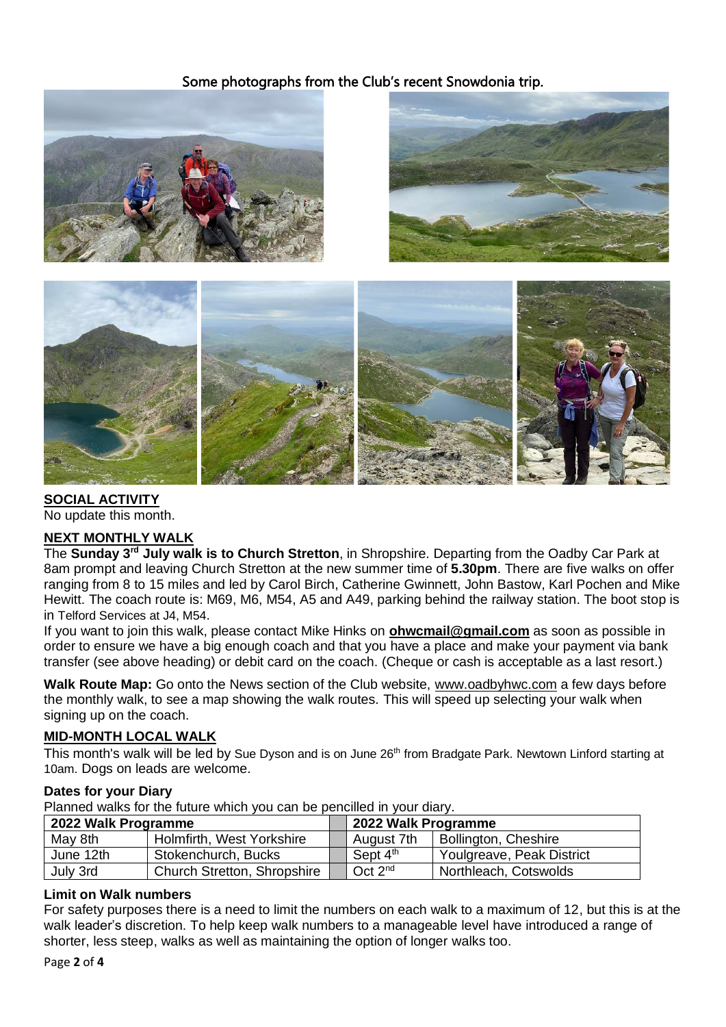# Some photographs from the Club's recent Snowdonia trip.







**SOCIAL ACTIVITY** No update this month.

# **NEXT MONTHLY WALK**

The **Sunday 3 rd July walk is to Church Stretton**, in Shropshire. Departing from the Oadby Car Park at 8am prompt and leaving Church Stretton at the new summer time of **5.30pm**. There are five walks on offer ranging from 8 to 15 miles and led by Carol Birch, Catherine Gwinnett, John Bastow, Karl Pochen and Mike Hewitt. The coach route is: M69, M6, M54, A5 and A49, parking behind the railway station. The boot stop is in Telford Services at J4, M54.

If you want to join this walk, please contact Mike Hinks on **[ohwcmail@gmail.com](mailto:ohwcmail@gmail.com)** as soon as possible in order to ensure we have a big enough coach and that you have a place and make your payment via bank transfer (see above heading) or debit card on the coach. (Cheque or cash is acceptable as a last resort.)

**Walk Route Map:** Go onto the News section of the Club website, [www.oadbyhwc.com](http://www.oadbyhwc.com/) a few days before the monthly walk, to see a map showing the walk routes. This will speed up selecting your walk when signing up on the coach.

#### **MID-MONTH LOCAL WALK**

This month's walk will be led by Sue Dyson and is on June 26<sup>th</sup> from Bradgate Park. Newtown Linford starting at 10am. Dogs on leads are welcome.

#### **Dates for your Diary**

Planned walks for the future which you can be pencilled in your diary.

| 2022 Walk Programme |                                    | 2022 Walk Programme |                           |
|---------------------|------------------------------------|---------------------|---------------------------|
| May 8th             | Holmfirth, West Yorkshire          | August 7th          | Bollington, Cheshire      |
| June 12th           | Stokenchurch, Bucks                | Sept $4th$          | Youlgreave, Peak District |
| July 3rd            | <b>Church Stretton, Shropshire</b> | Oct 2 <sup>nd</sup> | Northleach, Cotswolds     |

#### **Limit on Walk numbers**

For safety purposes there is a need to limit the numbers on each walk to a maximum of 12, but this is at the walk leader's discretion. To help keep walk numbers to a manageable level have introduced a range of shorter, less steep, walks as well as maintaining the option of longer walks too.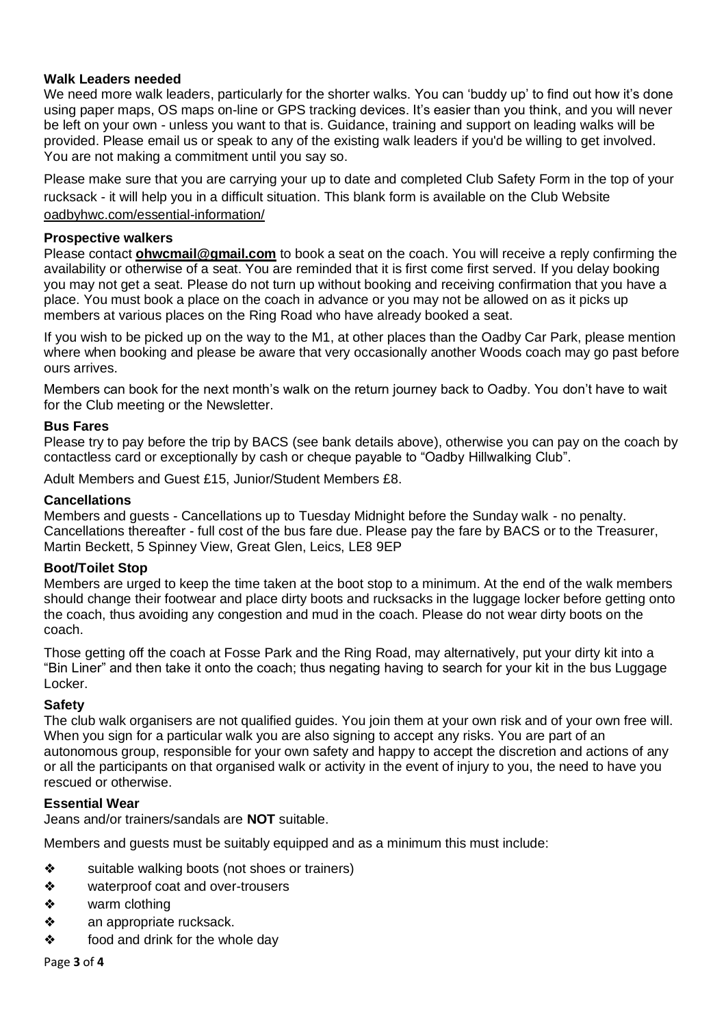### **Walk Leaders needed**

We need more walk leaders, particularly for the shorter walks. You can 'buddy up' to find out how it's done using paper maps, OS maps on-line or GPS tracking devices. It's easier than you think, and you will never be left on your own - unless you want to that is. Guidance, training and support on leading walks will be provided. Please email us or speak to any of the existing walk leaders if you'd be willing to get involved. You are not making a commitment until you say so.

Please make sure that you are carrying your up to date and completed Club Safety Form in the top of your rucksack - it will help you in a difficult situation. This blank form is available on the Club Website [oadbyhwc.com/essential-information/](http://oadbyhwc.com/essential-information/)

#### **Prospective walkers**

Please contact **[ohwcmail@gmail.com](mailto:ohwcmail@gmail.com)** to book a seat on the coach. You will receive a reply confirming the availability or otherwise of a seat. You are reminded that it is first come first served. If you delay booking you may not get a seat. Please do not turn up without booking and receiving confirmation that you have a place. You must book a place on the coach in advance or you may not be allowed on as it picks up members at various places on the Ring Road who have already booked a seat.

If you wish to be picked up on the way to the M1, at other places than the Oadby Car Park, please mention where when booking and please be aware that very occasionally another Woods coach may go past before ours arrives.

Members can book for the next month's walk on the return journey back to Oadby. You don't have to wait for the Club meeting or the Newsletter.

#### **Bus Fares**

Please try to pay before the trip by BACS (see bank details above), otherwise you can pay on the coach by contactless card or exceptionally by cash or cheque payable to "Oadby Hillwalking Club".

Adult Members and Guest £15, Junior/Student Members £8.

#### **Cancellations**

Members and guests - Cancellations up to Tuesday Midnight before the Sunday walk - no penalty. Cancellations thereafter - full cost of the bus fare due. Please pay the fare by BACS or to the Treasurer, Martin Beckett, 5 Spinney View, Great Glen, Leics, LE8 9EP

#### **Boot/Toilet Stop**

Members are urged to keep the time taken at the boot stop to a minimum. At the end of the walk members should change their footwear and place dirty boots and rucksacks in the luggage locker before getting onto the coach, thus avoiding any congestion and mud in the coach. Please do not wear dirty boots on the coach.

Those getting off the coach at Fosse Park and the Ring Road, may alternatively, put your dirty kit into a "Bin Liner" and then take it onto the coach; thus negating having to search for your kit in the bus Luggage Locker.

# **Safety**

The club walk organisers are not qualified guides. You join them at your own risk and of your own free will. When you sign for a particular walk you are also signing to accept any risks. You are part of an autonomous group, responsible for your own safety and happy to accept the discretion and actions of any or all the participants on that organised walk or activity in the event of injury to you, the need to have you rescued or otherwise.

#### **Essential Wear**

Jeans and/or trainers/sandals are **NOT** suitable.

Members and guests must be suitably equipped and as a minimum this must include:

- ❖ suitable walking boots (not shoes or trainers)
- ❖ waterproof coat and over-trousers
- ❖ warm clothing
- ❖ an appropriate rucksack.
- ❖ food and drink for the whole day

Page **3** of **4**